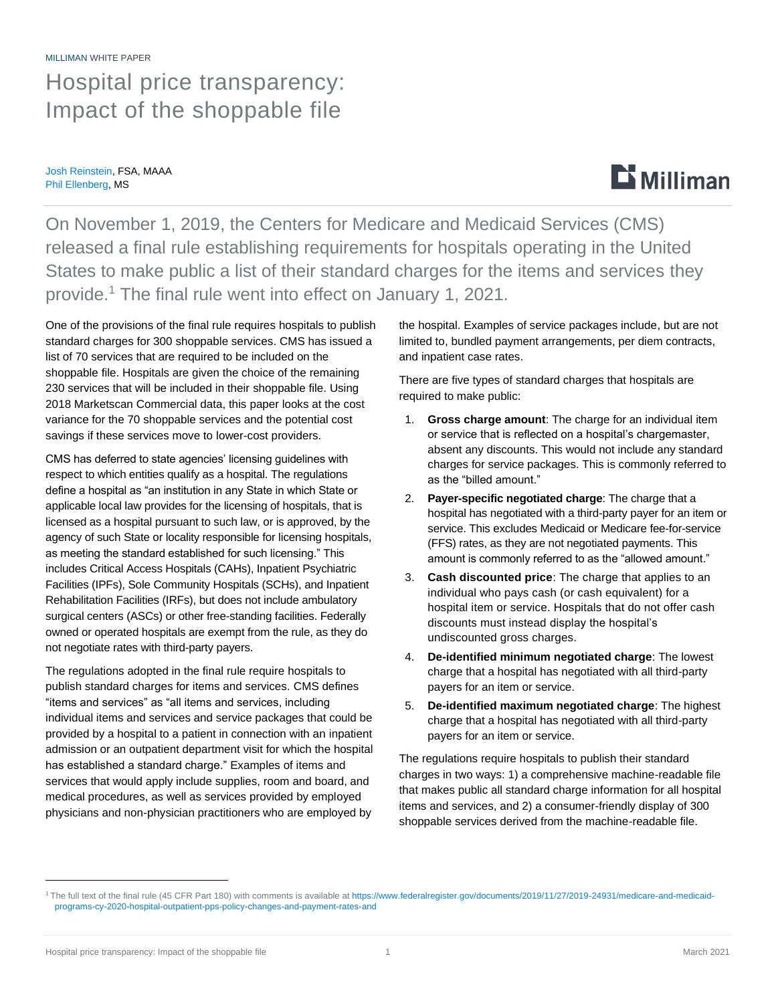# MILLIMAN WHITE PAPER Hospital price transparency: Impact of the shoppable file

Josh Reinstein, FSA, MAAA Phil Ellenberg, MS

# **Li** Milliman

On November 1, 2019, the Centers for Medicare and Medicaid Services (CMS) released a final rule establishing requirements for hospitals operating in the United States to make public a list of their standard charges for the items and services they provide.<sup>1</sup> The final rule went into effect on January 1, 2021.

One of the provisions of the final rule requires hospitals to publish standard charges for 300 shoppable services. CMS has issued a list of 70 services that are required to be included on the shoppable file. Hospitals are given the choice of the remaining 230 services that will be included in their shoppable file. Using 2018 Marketscan Commercial data, this paper looks at the cost variance for the 70 shoppable services and the potential cost savings if these services move to lower-cost providers.

CMS has deferred to state agencies' licensing guidelines with respect to which entities qualify as a hospital. The regulations define a hospital as "an institution in any State in which State or applicable local law provides for the licensing of hospitals, that is licensed as a hospital pursuant to such law, or is approved, by the agency of such State or locality responsible for licensing hospitals, as meeting the standard established for such licensing." This includes Critical Access Hospitals (CAHs), Inpatient Psychiatric Facilities (IPFs), Sole Community Hospitals (SCHs), and Inpatient Rehabilitation Facilities (IRFs), but does not include ambulatory surgical centers (ASCs) or other free-standing facilities. Federally owned or operated hospitals are exempt from the rule, as they do not negotiate rates with third-party payers.

The regulations adopted in the final rule require hospitals to publish standard charges for items and services. CMS defines "items and services" as "all items and services, including individual items and services and service packages that could be provided by a hospital to a patient in connection with an inpatient admission or an outpatient department visit for which the hospital has established a standard charge." Examples of items and services that would apply include supplies, room and board, and medical procedures, as well as services provided by employed physicians and non-physician practitioners who are employed by

the hospital. Examples of service packages include, but are not limited to, bundled payment arrangements, per diem contracts, and inpatient case rates.

There are five types of standard charges that hospitals are required to make public:

- 1. **Gross charge amount**: The charge for an individual item or service that is reflected on a hospital's chargemaster, absent any discounts. This would not include any standard charges for service packages. This is commonly referred to as the "billed amount."
- 2. **Payer-specific negotiated charge**: The charge that a hospital has negotiated with a third-party payer for an item or service. This excludes Medicaid or Medicare fee-for-service (FFS) rates, as they are not negotiated payments. This amount is commonly referred to as the "allowed amount."
- 3. **Cash discounted price**: The charge that applies to an individual who pays cash (or cash equivalent) for a hospital item or service. Hospitals that do not offer cash discounts must instead display the hospital's undiscounted gross charges.
- 4. **De-identified minimum negotiated charge**: The lowest charge that a hospital has negotiated with all third-party payers for an item or service.
- 5. **De-identified maximum negotiated charge**: The highest charge that a hospital has negotiated with all third-party payers for an item or service.

The regulations require hospitals to publish their standard charges in two ways: 1) a comprehensive machine-readable file that makes public all standard charge information for all hospital items and services, and 2) a consumer-friendly display of 300 shoppable services derived from the machine-readable file.

<sup>&</sup>lt;sup>1</sup>The full text of the final rule (45 CFR Part 180) with comments is available at [https://www.federalregister.gov/documents/2019/11/27/2019-24931/medicare-and-medicaid](https://www.federalregister.gov/documents/2019/11/27/2019-24931/medicare-and-medicaid-programs-cy-2020-hospital-outpatient-pps-policy-changes-and-payment-rates-and)[programs-cy-2020-hospital-outpatient-pps-policy-changes-and-payment-rates-and](https://www.federalregister.gov/documents/2019/11/27/2019-24931/medicare-and-medicaid-programs-cy-2020-hospital-outpatient-pps-policy-changes-and-payment-rates-and)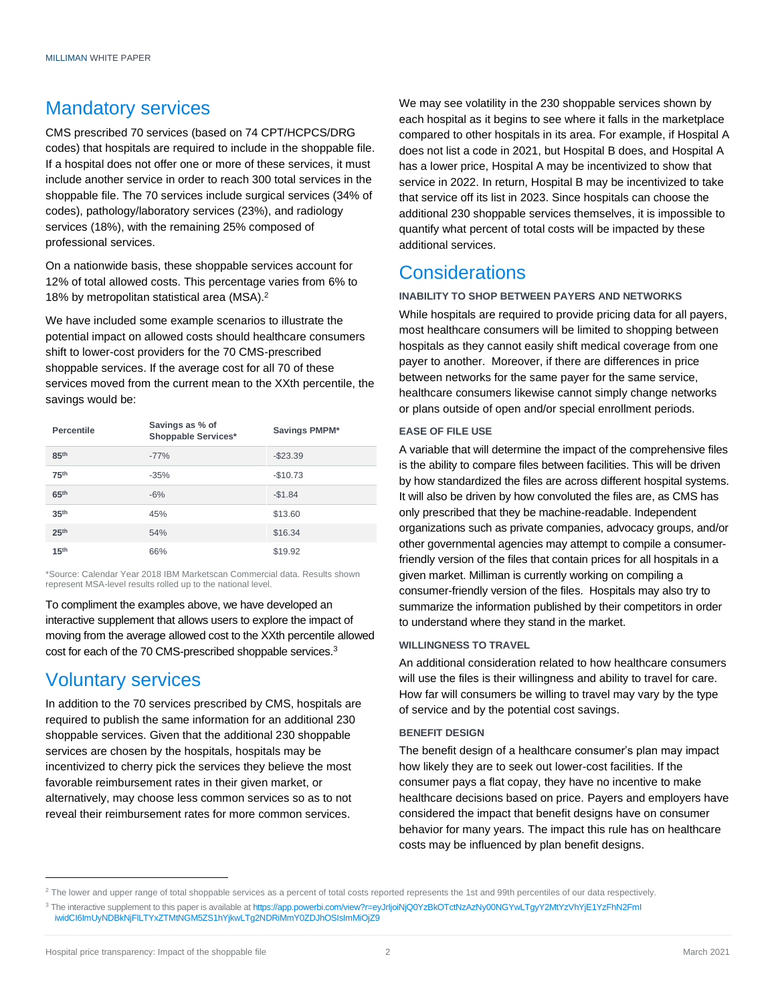# Mandatory services

CMS prescribed 70 services (based on 74 CPT/HCPCS/DRG codes) that hospitals are required to include in the shoppable file. If a hospital does not offer one or more of these services, it must include another service in order to reach 300 total services in the shoppable file. The 70 services include surgical services (34% of codes), pathology/laboratory services (23%), and radiology services (18%), with the remaining 25% composed of professional services.

On a nationwide basis, these shoppable services account for 12% of total allowed costs. This percentage varies from 6% to 18% by metropolitan statistical area (MSA).<sup>2</sup>

We have included some example scenarios to illustrate the potential impact on allowed costs should healthcare consumers shift to lower-cost providers for the 70 CMS-prescribed shoppable services. If the average cost for all 70 of these services moved from the current mean to the XXth percentile, the savings would be:

| <b>Percentile</b> | Savings as % of<br><b>Shoppable Services*</b> | Savings PMPM* |
|-------------------|-----------------------------------------------|---------------|
| 85 <sup>th</sup>  | $-77%$                                        | $-$23.39$     |
| <b>75th</b>       | $-35%$                                        | $-$10.73$     |
| 65 <sup>th</sup>  | $-6%$                                         | $-$1.84$      |
| 35 <sup>th</sup>  | 45%                                           | \$13.60       |
| 25 <sup>th</sup>  | 54%                                           | \$16.34       |
| 15 <sup>th</sup>  | 66%                                           | \$19.92       |

\*Source: Calendar Year 2018 IBM Marketscan Commercial data. Results shown represent MSA-level results rolled up to the national level.

To compliment the examples above, we have developed an interactive supplement that allows users to explore the impact of moving from the average allowed cost to the XXth percentile allowed cost for each of the 70 CMS-prescribed shoppable services.<sup>3</sup>

# Voluntary services

In addition to the 70 services prescribed by CMS, hospitals are required to publish the same information for an additional 230 shoppable services. Given that the additional 230 shoppable services are chosen by the hospitals, hospitals may be incentivized to cherry pick the services they believe the most favorable reimbursement rates in their given market, or alternatively, may choose less common services so as to not reveal their reimbursement rates for more common services.

We may see volatility in the 230 shoppable services shown by each hospital as it begins to see where it falls in the marketplace compared to other hospitals in its area. For example, if Hospital A does not list a code in 2021, but Hospital B does, and Hospital A has a lower price, Hospital A may be incentivized to show that service in 2022. In return, Hospital B may be incentivized to take that service off its list in 2023. Since hospitals can choose the additional 230 shoppable services themselves, it is impossible to quantify what percent of total costs will be impacted by these additional services.

# **Considerations**

## **INABILITY TO SHOP BETWEEN PAYERS AND NETWORKS**

While hospitals are required to provide pricing data for all payers, most healthcare consumers will be limited to shopping between hospitals as they cannot easily shift medical coverage from one payer to another. Moreover, if there are differences in price between networks for the same payer for the same service, healthcare consumers likewise cannot simply change networks or plans outside of open and/or special enrollment periods.

### **EASE OF FILE USE**

A variable that will determine the impact of the comprehensive files is the ability to compare files between facilities. This will be driven by how standardized the files are across different hospital systems. It will also be driven by how convoluted the files are, as CMS has only prescribed that they be machine-readable. Independent organizations such as private companies, advocacy groups, and/or other governmental agencies may attempt to compile a consumerfriendly version of the files that contain prices for all hospitals in a given market. Milliman is currently working on compiling a consumer-friendly version of the files. Hospitals may also try to summarize the information published by their competitors in order to understand where they stand in the market.

### **WILLINGNESS TO TRAVEL**

An additional consideration related to how healthcare consumers will use the files is their willingness and ability to travel for care. How far will consumers be willing to travel may vary by the type of service and by the potential cost savings.

### **BENEFIT DESIGN**

The benefit design of a healthcare consumer's plan may impact how likely they are to seek out lower-cost facilities. If the consumer pays a flat copay, they have no incentive to make healthcare decisions based on price. Payers and employers have considered the impact that benefit designs have on consumer behavior for many years. The impact this rule has on healthcare costs may be influenced by plan benefit designs.

<sup>&</sup>lt;sup>2</sup> The lower and upper range of total shoppable services as a percent of total costs reported represents the 1st and 99th percentiles of our data respectively.

<sup>3</sup> The interactive supplement to this paper is available a[t https://app.powerbi.com/view?r=eyJrIjoiNjQ0YzBkOTctNzAzNy00NGYwLTgyY2MtYzVhYjE1YzFhN2FmI](https://app.powerbi.com/view?r=eyJrIjoiNjQ0YzBkOTctNzAzNy00NGYwLTgyY2MtYzVhYjE1YzFhN2FmI%0biwidCI6ImUyNDBkNjFlLTYxZTMtNGM5ZS1hYjkwLTg2NDRiMmY0ZDJhOSIsImMiOjZ9) [iwidCI6ImUyNDBkNjFlLTYxZTMtNGM5ZS1hYjkwLTg2NDRiMmY0ZDJhOSIsImMiOjZ9](https://app.powerbi.com/view?r=eyJrIjoiNjQ0YzBkOTctNzAzNy00NGYwLTgyY2MtYzVhYjE1YzFhN2FmI%0biwidCI6ImUyNDBkNjFlLTYxZTMtNGM5ZS1hYjkwLTg2NDRiMmY0ZDJhOSIsImMiOjZ9)